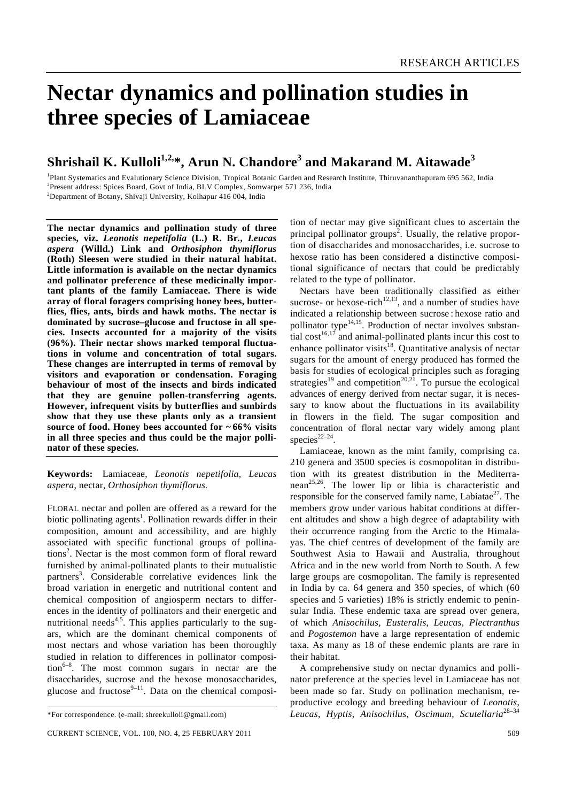# **Nectar dynamics and pollination studies in three species of Lamiaceae**

# **Shrishail K. Kulloli1,2,\*, Arun N. Chandore3 and Makarand M. Aitawade<sup>3</sup>**

<sup>1</sup>Plant Systematics and Evalutionary Science Division, Tropical Botanic Garden and Research Institute, Thiruvananthapuram 695 562, India <sup>2</sup>Present eddress: Spiece Board, Gout of India BLV Complex, Semuered 571, 226, Indi Present address: Spices Board, Govt of India, BLV Complex, Somwarpet 571 236, India 2 Department of Botany, Shivaji University, Kolhapur 416 004, India

**The nectar dynamics and pollination study of three species, viz.** *Leonotis nepetifolia* **(L.) R. Br***.***,** *Leucas aspera* **(Willd.) Link and** *Orthosiphon thymiflorus*  **(Roth) Sleesen were studied in their natural habitat. Little information is available on the nectar dynamics and pollinator preference of these medicinally important plants of the family Lamiaceae. There is wide array of floral foragers comprising honey bees, butterflies, flies, ants, birds and hawk moths. The nectar is dominated by sucrose–glucose and fructose in all species. Insects accounted for a majority of the visits (96%). Their nectar shows marked temporal fluctuations in volume and concentration of total sugars. These changes are interrupted in terms of removal by visitors and evaporation or condensation. Foraging behaviour of most of the insects and birds indicated that they are genuine pollen-transferring agents. However, infrequent visits by butterflies and sunbirds show that they use these plants only as a transient source of food. Honey bees accounted for ~ 66% visits in all three species and thus could be the major pollinator of these species.** 

**Keywords:** Lamiaceae, *Leonotis nepetifolia*, *Leucas aspera*, nectar, *Orthosiphon thymiflorus.* 

FLORAL nectar and pollen are offered as a reward for the biotic pollinating agents<sup>1</sup>. Pollination rewards differ in their composition, amount and accessibility, and are highly associated with specific functional groups of pollinations<sup>2</sup>. Nectar is the most common form of floral reward furnished by animal-pollinated plants to their mutualistic partners<sup>3</sup>. Considerable correlative evidences link the broad variation in energetic and nutritional content and chemical composition of angiosperm nectars to differences in the identity of pollinators and their energetic and nutritional needs<sup>4,5</sup>. This applies particularly to the sugars, which are the dominant chemical components of most nectars and whose variation has been thoroughly studied in relation to differences in pollinator composi- $\arctan^{6-8}$ . The most common sugars in nectar are the disaccharides, sucrose and the hexose monosaccharides, glucose and fructose $9-11$ . Data on the chemical composi-

tion of nectar may give significant clues to ascertain the principal pollinator groups<sup>2</sup>. Usually, the relative proportion of disaccharides and monosaccharides, i.e. sucrose to hexose ratio has been considered a distinctive compositional significance of nectars that could be predictably related to the type of pollinator.

 Nectars have been traditionally classified as either sucrose- or hexose-rich<sup>12,13</sup>, and a number of studies have indicated a relationship between sucrose : hexose ratio and pollinator type $14,15$ . Production of nectar involves substantial cost<sup>16,17</sup> and animal-pollinated plants incur this cost to enhance pollinator visits<sup>18</sup>. Quantitative analysis of nectar sugars for the amount of energy produced has formed the basis for studies of ecological principles such as foraging strategies<sup>19</sup> and competition<sup>20,21</sup>. To pursue the ecological advances of energy derived from nectar sugar, it is necessary to know about the fluctuations in its availability in flowers in the field. The sugar composition and concentration of floral nectar vary widely among plant species<sup>22–24</sup>.

 Lamiaceae, known as the mint family, comprising ca. 210 genera and 3500 species is cosmopolitan in distribution with its greatest distribution in the Mediterranean<sup>25,26</sup>. The lower lip or libia is characteristic and responsible for the conserved family name, Labiatae<sup>27</sup>. The members grow under various habitat conditions at different altitudes and show a high degree of adaptability with their occurrence ranging from the Arctic to the Himalayas. The chief centres of development of the family are Southwest Asia to Hawaii and Australia, throughout Africa and in the new world from North to South. A few large groups are cosmopolitan. The family is represented in India by ca. 64 genera and 350 species, of which (60 species and 5 varieties) 18% is strictly endemic to peninsular India. These endemic taxa are spread over genera, of which *Anisochilus*, *Eusteralis*, *Leucas*, *Plectranthus*  and *Pogostemon* have a large representation of endemic taxa. As many as 18 of these endemic plants are rare in their habitat.

 A comprehensive study on nectar dynamics and pollinator preference at the species level in Lamiaceae has not been made so far. Study on pollination mechanism, reproductive ecology and breeding behaviour of *Leonotis*, *Leucas*, *Hyptis*, *Anisochilus*, *Oscimum*, *Scutellaria*28–34

<sup>\*</sup>For correspondence. (e-mail: shreekulloli@gmail.com)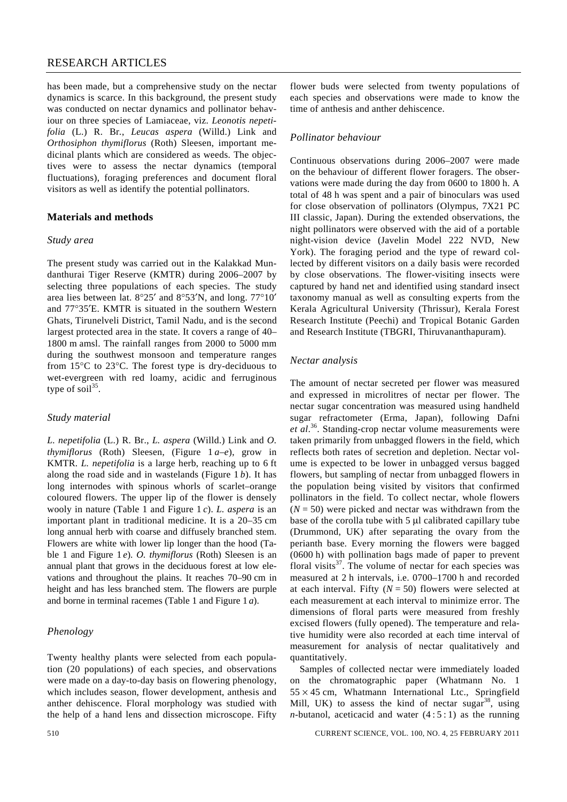has been made, but a comprehensive study on the nectar dynamics is scarce. In this background, the present study was conducted on nectar dynamics and pollinator behaviour on three species of Lamiaceae, viz. *Leonotis nepetifolia* (L.) R. Br*.*, *Leucas aspera* (Willd.) Link and *Orthosiphon thymiflorus* (Roth) Sleesen, important medicinal plants which are considered as weeds. The objectives were to assess the nectar dynamics (temporal fluctuations), foraging preferences and document floral visitors as well as identify the potential pollinators.

#### **Materials and methods**

#### *Study area*

The present study was carried out in the Kalakkad Mundanthurai Tiger Reserve (KMTR) during 2006–2007 by selecting three populations of each species. The study area lies between lat. 8°25′ and 8°53′N, and long. 77°10′ and 77°35′E. KMTR is situated in the southern Western Ghats, Tirunelveli District, Tamil Nadu, and is the second largest protected area in the state. It covers a range of 40– 1800 m amsl. The rainfall ranges from 2000 to 5000 mm during the southwest monsoon and temperature ranges from 15°C to 23°C. The forest type is dry-deciduous to wet-evergreen with red loamy, acidic and ferruginous type of soil $^{35}$ .

#### *Study material*

*L. nepetifolia* (L.) R. Br., *L. aspera* (Willd.) Link and *O. thymiflorus* (Roth) Sleesen, (Figure  $1a-e$ ), grow in KMTR. *L. nepetifolia* is a large herb, reaching up to 6 ft along the road side and in wastelands (Figure 1 *b*). It has long internodes with spinous whorls of scarlet–orange coloured flowers. The upper lip of the flower is densely wooly in nature (Table 1 and Figure 1 *c*). *L. aspera* is an important plant in traditional medicine. It is a 20–35 cm long annual herb with coarse and diffusely branched stem. Flowers are white with lower lip longer than the hood (Table 1 and Figure 1 *e*). *O. thymiflorus* (Roth) Sleesen is an annual plant that grows in the deciduous forest at low elevations and throughout the plains. It reaches 70–90 cm in height and has less branched stem. The flowers are purple and borne in terminal racemes (Table 1 and Figure 1 *a*).

## *Phenology*

Twenty healthy plants were selected from each population (20 populations) of each species, and observations were made on a day-to-day basis on flowering phenology, which includes season, flower development, anthesis and anther dehiscence. Floral morphology was studied with the help of a hand lens and dissection microscope. Fifty flower buds were selected from twenty populations of each species and observations were made to know the time of anthesis and anther dehiscence.

#### *Pollinator behaviour*

Continuous observations during 2006–2007 were made on the behaviour of different flower foragers. The observations were made during the day from 0600 to 1800 h. A total of 48 h was spent and a pair of binoculars was used for close observation of pollinators (Olympus, 7X21 PC III classic, Japan). During the extended observations, the night pollinators were observed with the aid of a portable night-vision device (Javelin Model 222 NVD, New York). The foraging period and the type of reward collected by different visitors on a daily basis were recorded by close observations. The flower-visiting insects were captured by hand net and identified using standard insect taxonomy manual as well as consulting experts from the Kerala Agricultural University (Thrissur), Kerala Forest Research Institute (Peechi) and Tropical Botanic Garden and Research Institute (TBGRI, Thiruvananthapuram).

#### *Nectar analysis*

The amount of nectar secreted per flower was measured and expressed in microlitres of nectar per flower. The nectar sugar concentration was measured using handheld sugar refractometer (Erma, Japan), following Dafni et al.<sup>36</sup>. Standing-crop nectar volume measurements were taken primarily from unbagged flowers in the field, which reflects both rates of secretion and depletion. Nectar volume is expected to be lower in unbagged versus bagged flowers, but sampling of nectar from unbagged flowers in the population being visited by visitors that confirmed pollinators in the field. To collect nectar, whole flowers  $(N = 50)$  were picked and nectar was withdrawn from the base of the corolla tube with 5 μl calibrated capillary tube (Drummond, UK) after separating the ovary from the perianth base. Every morning the flowers were bagged (0600 h) with pollination bags made of paper to prevent floral visits $3^7$ . The volume of nectar for each species was measured at 2 h intervals, i.e. 0700–1700 h and recorded at each interval. Fifty  $(N = 50)$  flowers were selected at each measurement at each interval to minimize error. The dimensions of floral parts were measured from freshly excised flowers (fully opened). The temperature and relative humidity were also recorded at each time interval of measurement for analysis of nectar qualitatively and quantitatively.

 Samples of collected nectar were immediately loaded on the chromatographic paper (Whatmann No. 1  $55 \times 45$  cm, Whatmann International Ltc., Springfield Mill, UK) to assess the kind of nectar sugar  $38$ , using *n*-butanol, aceticacid and water  $(4:5:1)$  as the running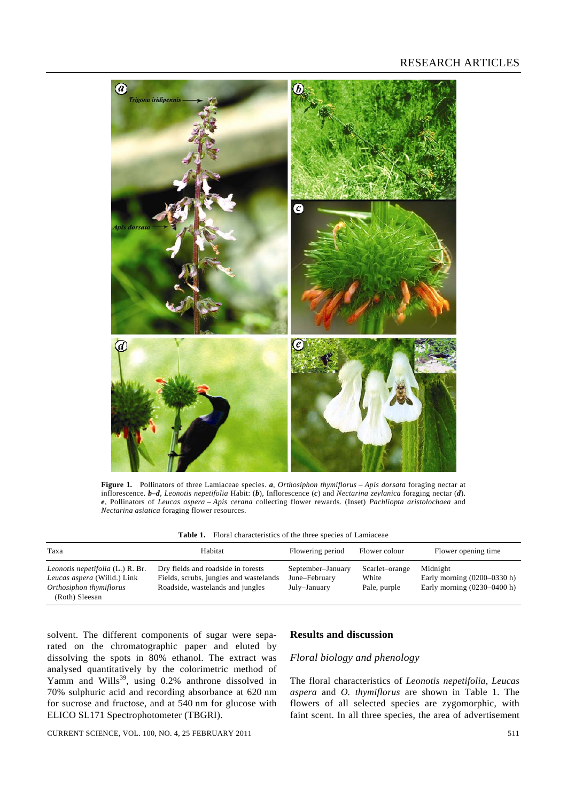

**Figure 1.** Pollinators of three Lamiaceae species. *a*, *Orthosiphon thymiflorus* – *Apis dorsata* foraging nectar at inflorescence. *b***–***d*, *Leonotis nepetifolia* Habit: (*b*), Inflorescence (*c*) and *Nectarina zeylanica* foraging nectar (*d*). *e*, Pollinators of *Leucas aspera* – *Apis cerana* collecting flower rewards. (Inset) *Pachliopta aristolochaea* and *Nectarina asiatica* foraging flower resources.

| <b>Table 1.</b> Floral characteristics of the three species of Lamiaceae |
|--------------------------------------------------------------------------|
|--------------------------------------------------------------------------|

| Taxa                                                                                                         | Habitat                                                                                                          | Flowering period                                   | Flower colour                           | Flower opening time                                                        |
|--------------------------------------------------------------------------------------------------------------|------------------------------------------------------------------------------------------------------------------|----------------------------------------------------|-----------------------------------------|----------------------------------------------------------------------------|
| Leonotis nepetifolia (L.) R. Br.<br>Leucas aspera (Willd.) Link<br>Orthosiphon thymiflorus<br>(Roth) Sleesan | Dry fields and roadside in forests<br>Fields, scrubs, jungles and wastelands<br>Roadside, wastelands and jungles | September-January<br>June-February<br>July-January | Scarlet-orange<br>White<br>Pale, purple | Midnight<br>Early morning $(0200-0330 h)$<br>Early morning $(0230-0400 h)$ |

solvent. The different components of sugar were separated on the chromatographic paper and eluted by dissolving the spots in 80% ethanol. The extract was analysed quantitatively by the colorimetric method of Yamm and Wills<sup>39</sup>, using 0.2% anthrone dissolved in 70% sulphuric acid and recording absorbance at 620 nm for sucrose and fructose, and at 540 nm for glucose with ELICO SL171 Spectrophotometer (TBGRI).

# **Results and discussion**

#### *Floral biology and phenology*

The floral characteristics of *Leonotis nepetifolia*, *Leucas aspera* and *O. thymiflorus* are shown in Table 1. The flowers of all selected species are zygomorphic, with faint scent. In all three species, the area of advertisement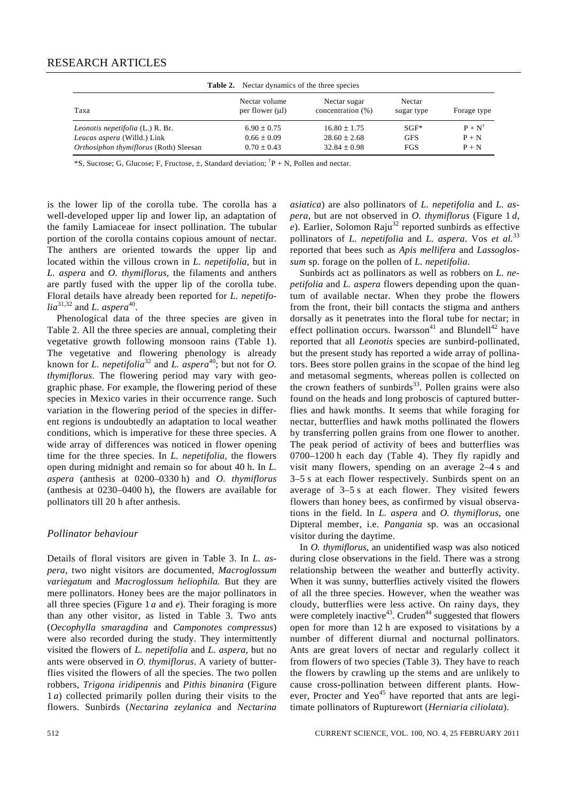| <b>Table 2.</b> Nectar dynamics of the three species |                                       |                                   |                      |                   |  |  |
|------------------------------------------------------|---------------------------------------|-----------------------------------|----------------------|-------------------|--|--|
| Taxa                                                 | Nectar volume<br>per flower $(\mu l)$ | Nectar sugar<br>concentration (%) | Nectar<br>sugar type | Forage type       |  |  |
| Leonotis nepetifolia (L.) R. Br.                     | $6.90 \pm 0.75$                       | $16.80 \pm 1.75$                  | $SGF^*$              | $P + N^{\dagger}$ |  |  |
| Leucas aspera (Willd.) Link                          | $0.66 \pm 0.09$                       | $28.60 + 2.68$                    | <b>GFS</b>           | $P + N$           |  |  |
| Orthosiphon thymiflorus (Roth) Sleesan               | $0.70 \pm 0.43$                       | $32.84 \pm 0.98$                  | FGS                  | $P + N$           |  |  |

\*S, Sucrose; G, Glucose; F, Fructose, ±, Standard deviation; † P + N, Pollen and nectar.

is the lower lip of the corolla tube. The corolla has a well-developed upper lip and lower lip, an adaptation of the family Lamiaceae for insect pollination. The tubular portion of the corolla contains copious amount of nectar. The anthers are oriented towards the upper lip and located within the villous crown in *L. nepetifolia*, but in *L. aspera* and *O. thymiflorus*, the filaments and anthers are partly fused with the upper lip of the corolla tube. Floral details have already been reported for *L. nepetifo* $lia^{31,32}$  and *L. aspera*<sup>40</sup>.

 Phenological data of the three species are given in Table 2. All the three species are annual, completing their vegetative growth following monsoon rains (Table 1). The vegetative and flowering phenology is already known for *L. nepetifolia*<sup>32</sup> and *L. aspera*<sup>40</sup>; but not for *O. thymiflorus*. The flowering period may vary with geographic phase. For example, the flowering period of these species in Mexico varies in their occurrence range. Such variation in the flowering period of the species in different regions is undoubtedly an adaptation to local weather conditions, which is imperative for these three species. A wide array of differences was noticed in flower opening time for the three species. In *L. nepetifolia,* the flowers open during midnight and remain so for about 40 h. In *L. aspera* (anthesis at 0200–0330 h) and *O. thymiflorus* (anthesis at 0230–0400 h), the flowers are available for pollinators till 20 h after anthesis.

#### *Pollinator behaviour*

Details of floral visitors are given in Table 3. In *L. aspera*, two night visitors are documented, *Macroglossum variegatum* and *Macroglossum heliophila.* But they are mere pollinators. Honey bees are the major pollinators in all three species (Figure 1 *a* and *e*). Their foraging is more than any other visitor, as listed in Table 3. Two ants (*Oecophylla smaragdina* and *Camponotes compressus*) were also recorded during the study. They intermittently visited the flowers of *L. nepetifolia* and *L. aspera*, but no ants were observed in *O. thymiflorus*. A variety of butterflies visited the flowers of all the species. The two pollen robbers, *Trigona iridipennis* and *Pithis binanira* (Figure 1 *a*) collected primarily pollen during their visits to the flowers. Sunbirds (*Nectarina zeylanica* and *Nectarina*  *asiatica*) are also pollinators of *L. nepetifolia* and *L. aspera*, but are not observed in *O. thymiflorus* (Figure 1 *d*,  $e$ ). Earlier, Solomon Raju<sup>32</sup> reported sunbirds as effective pollinators of *L. nepetifolia* and *L. aspera*. Vos *et al.*<sup>33</sup> reported that bees such as *Apis mellifera* and *Lassoglossum* sp. forage on the pollen of *L. nepetifolia*.

 Sunbirds act as pollinators as well as robbers on *L. nepetifolia* and *L. aspera* flowers depending upon the quantum of available nectar. When they probe the flowers from the front, their bill contacts the stigma and anthers dorsally as it penetrates into the floral tube for nectar; in effect pollination occurs. Iwarsson<sup>41</sup> and Blundell<sup>42</sup> have reported that all *Leonotis* species are sunbird-pollinated, but the present study has reported a wide array of pollinators. Bees store pollen grains in the scopae of the hind leg and metasomal segments, whereas pollen is collected on the crown feathers of sunbirds $33$ . Pollen grains were also found on the heads and long proboscis of captured butterflies and hawk months. It seems that while foraging for nectar, butterflies and hawk moths pollinated the flowers by transferring pollen grains from one flower to another. The peak period of activity of bees and butterflies was 0700–1200 h each day (Table 4). They fly rapidly and visit many flowers, spending on an average 2–4 s and 3–5 s at each flower respectively. Sunbirds spent on an average of 3–5 s at each flower. They visited fewers flowers than honey bees, as confirmed by visual observations in the field. In *L. aspera* and *O. thymiflorus*, one Dipteral member, i.e. *Pangania* sp. was an occasional visitor during the daytime.

 In *O. thymiflorus*, an unidentified wasp was also noticed during close observations in the field. There was a strong relationship between the weather and butterfly activity. When it was sunny, butterflies actively visited the flowers of all the three species. However, when the weather was cloudy, butterflies were less active. On rainy days, they were completely inactive<sup>43</sup>. Cruden<sup>44</sup> suggested that flowers open for more than 12 h are exposed to visitations by a number of different diurnal and nocturnal pollinators. Ants are great lovers of nectar and regularly collect it from flowers of two species (Table 3). They have to reach the flowers by crawling up the stems and are unlikely to cause cross-pollination between different plants. However, Procter and Yeo<sup>45</sup> have reported that ants are legitimate pollinators of Rupturewort (*Herniaria ciliolata*).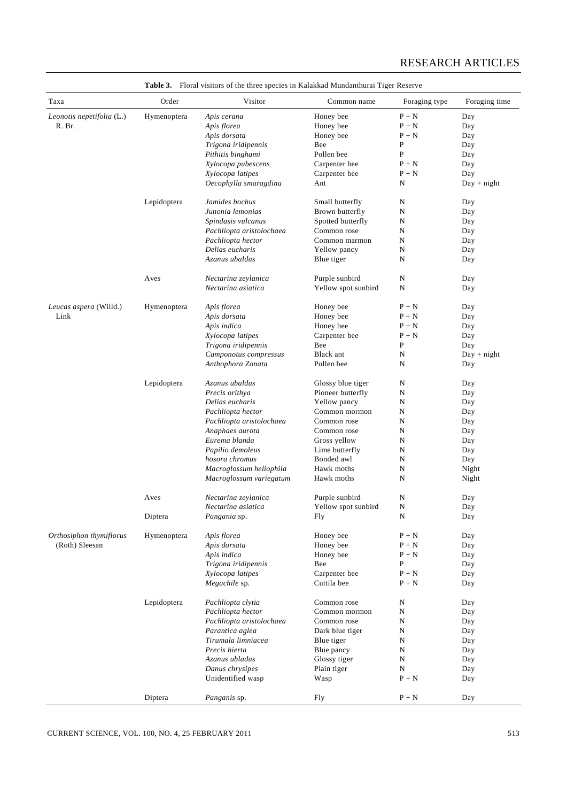| Taxa                      | Order       | Visitor                           | Common name                   | Foraging type           | Foraging time |
|---------------------------|-------------|-----------------------------------|-------------------------------|-------------------------|---------------|
| Leonotis nepetifolia (L.) | Hymenoptera | Apis cerana                       | Honey bee                     | $P + N$                 | Day           |
| R. Br.                    |             | Apis florea                       | Honey bee                     | $P + N$                 | Day           |
|                           |             | Apis dorsata                      | Honey bee                     | $P + N$                 | Day           |
|                           |             | Trigona iridipennis               | Bee                           | P                       | Day           |
|                           |             | Pithitis binghami                 | Pollen bee                    | P                       | Day           |
|                           |             | Xylocopa pubescens                | Carpenter bee                 | $P + N$                 | Day           |
|                           |             | Xylocopa latipes                  | Carpenter bee                 | $P + N$                 | Day           |
|                           |             | Oecophylla smaragdina             | Ant                           | N                       | $Day + night$ |
|                           | Lepidoptera | Jamides bochus                    | Small butterfly               | N                       | Day           |
|                           |             | Junonia lemonias                  | Brown butterfly               | N                       | Day           |
|                           |             | Spindasis vulcanus                | Spotted butterfly             | N                       | Day           |
|                           |             | Pachliopta aristolochaea          | Common rose                   | N                       | Day           |
|                           |             | Pachliopta hector                 | Common marmon                 | N                       | Day           |
|                           |             | Delias eucharis                   | Yellow pancy                  | N                       | Day           |
|                           |             | Azanus ubaldus                    | Blue tiger                    | N                       | Day           |
|                           | Aves        | Nectarina zeylanica               | Purple sunbird                | N                       | Day           |
|                           |             | Nectarina asiatica                | Yellow spot sunbird           | $\mathbf N$             | Day           |
| Leucas aspera (Willd.)    | Hymenoptera | Apis florea                       | Honey bee                     | $P + N$                 | Day           |
| Link                      |             | Apis dorsata                      | Honey bee                     | $P + N$                 | Day           |
|                           |             | Apis indica                       | Honey bee                     | $P + N$                 | Day           |
|                           |             | Xylocopa latipes                  | Carpenter bee                 | $P + N$                 | Day           |
|                           |             | Trigona iridipennis               | Bee                           | P                       | Day           |
|                           |             | Camponotus compressus             | Black ant                     | N                       | $Day + night$ |
|                           |             | Anthophora Zonata                 | Pollen bee                    | N                       | Day           |
|                           |             |                                   |                               |                         |               |
|                           | Lepidoptera | Azanus ubaldus                    | Glossy blue tiger             | N                       | Day           |
|                           |             | Precis orithya<br>Delias eucharis | Pioneer butterfly             | N<br>${\bf N}$          | Day           |
|                           |             | Pachliopta hector                 | Yellow pancy<br>Common mormon | N                       | Day<br>Day    |
|                           |             | Pachliopta aristolochaea          | Common rose                   | N                       | Day           |
|                           |             | Anaphaes aurota                   | Common rose                   | N                       | Day           |
|                           |             | Eurema blanda                     | Gross yellow                  | N                       | Day           |
|                           |             | Papilio demoleus                  | Lime butterfly                | N                       | Day           |
|                           |             | hosora chromus                    | Bonded awl                    | ${\bf N}$               | Day           |
|                           |             | Macroglossum heliophila           | Hawk moths                    | N                       | Night         |
|                           |             | Macroglossum variegatum           | Hawk moths                    | N                       | Night         |
|                           |             | Nectarina zeylanica               | Purple sunbird                | N                       |               |
|                           | Aves        | Nectarina asiatica                |                               | ${\bf N}$               | Day           |
|                           |             |                                   | Yellow spot sunbird           | N                       | Day           |
|                           | Diptera     | Pangania sp.                      | Fly                           |                         | Day           |
| Orthosiphon thymiflorus   | Hymenoptera | Apis florea                       | Honey bee                     | $P + N$                 | Day           |
| (Roth) Sleesan            |             | Apis dorsata                      | Honey bee                     | $P + N$                 | Day           |
|                           |             | Apis indica                       | Honey bee                     | $P + N$                 | Day           |
|                           |             | Trigona iridipennis               | Bee                           | ${\bf P}$               | Day           |
|                           |             | Xylocopa latipes                  | Carpenter bee                 | $P + N$                 | Day           |
|                           |             | Megachile sp.                     | Cuttila bee                   | $P + N$                 | Day           |
|                           | Lepidoptera | Pachliopta clytia                 | Common rose                   | N                       | Day           |
|                           |             | Pachliopta hector                 | Common mormon                 | N                       | Day           |
|                           |             | Pachliopta aristolochaea          | Common rose                   | N                       | Day           |
|                           |             | Parantica aglea                   | Dark blue tiger               | ${\bf N}$               | Day           |
|                           |             | Tirumala limniacea                | Blue tiger                    | N                       | Day           |
|                           |             | Precis hierta                     | Blue pancy                    | N                       | Day           |
|                           |             | Azanus ubladus                    | Glossy tiger                  | ${\bf N}$               | Day           |
|                           |             | Danus chrysipes                   | Plain tiger                   | N                       | Day           |
|                           |             | Unidentified wasp                 | Wasp                          | $P + N$                 | Day           |
|                           | Diptera     | Panganis sp.                      | Fly                           | $\mathbf{P}+\mathbf{N}$ | Day           |

**Table 3.** Floral visitors of the three species in Kalakkad Mundanthurai Tiger Reserve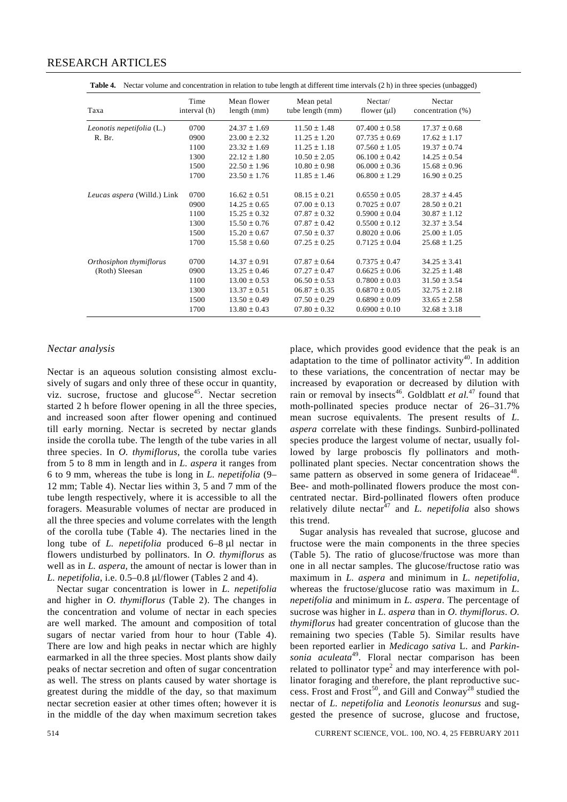| Taxa                        | Time<br>interval (h) | Mean flower<br>length (mm) | Mean petal<br>tube length (mm) | Nectar/<br>flower $(\mu l)$ | Nectar<br>concentration (%) |
|-----------------------------|----------------------|----------------------------|--------------------------------|-----------------------------|-----------------------------|
| Leonotis nepetifolia (L.)   | 0700                 | $24.37 \pm 1.69$           | $11.50 \pm 1.48$               | $07.400 \pm 0.58$           | $17.37 \pm 0.68$            |
| R. Br.                      | 0900                 | $23.00 \pm 2.32$           | $11.25 \pm 1.20$               | $07.735 \pm 0.69$           | $17.62 \pm 1.17$            |
|                             | 1100                 | $23.32 \pm 1.69$           | $11.25 \pm 1.18$               | $07.560 \pm 1.05$           | $19.37 \pm 0.74$            |
|                             | 1300                 | $22.12 \pm 1.80$           | $10.50 \pm 2.05$               | $06.100 \pm 0.42$           | $14.25 \pm 0.54$            |
|                             | 1500                 | $22.50 \pm 1.96$           | $10.80 \pm 0.98$               | $06.000 \pm 0.36$           | $15.68 \pm 0.96$            |
|                             | 1700                 | $23.50 \pm 1.76$           | $11.85 \pm 1.46$               | $06.800 \pm 1.29$           | $16.90 \pm 0.25$            |
| Leucas aspera (Willd.) Link | 0700                 | $16.62 \pm 0.51$           | $08.15 \pm 0.21$               | $0.6550 \pm 0.05$           | $28.37 \pm 4.45$            |
|                             | 0900                 | $14.25 \pm 0.65$           | $07.00 \pm 0.13$               | $0.7025 \pm 0.07$           | $28.50 \pm 0.21$            |
|                             | 1100                 | $15.25 \pm 0.32$           | $07.87 \pm 0.32$               | $0.5900 \pm 0.04$           | $30.87 \pm 1.12$            |
|                             | 1300                 | $15.50 \pm 0.76$           | $07.87 \pm 0.42$               | $0.5500 \pm 0.12$           | $32.37 \pm 3.54$            |
|                             | 1500                 | $15.20 \pm 0.67$           | $07.50 \pm 0.37$               | $0.8020 \pm 0.06$           | $25.00 \pm 1.05$            |
|                             | 1700                 | $15.58 \pm 0.60$           | $07.25 \pm 0.25$               | $0.7125 \pm 0.04$           | $25.68 \pm 1.25$            |
| Orthosiphon thymiflorus     | 0700                 | $14.37 \pm 0.91$           | $07.87 \pm 0.64$               | $0.7375 \pm 0.47$           | $34.25 \pm 3.41$            |
| (Roth) Sleesan              | 0900                 | $13.25 \pm 0.46$           | $07.27 \pm 0.47$               | $0.6625 \pm 0.06$           | $32.25 \pm 1.48$            |
|                             | 1100                 | $13.00 \pm 0.53$           | $06.50 \pm 0.53$               | $0.7800 \pm 0.03$           | $31.50 \pm 3.54$            |
|                             | 1300                 | $13.37 \pm 0.51$           | $06.87 \pm 0.35$               | $0.6870 \pm 0.05$           | $32.75 \pm 2.18$            |
|                             | 1500                 | $13.50 \pm 0.49$           | $07.50 \pm 0.29$               | $0.6890 \pm 0.09$           | $33.65 \pm 2.58$            |
|                             | 1700                 | $13.80 \pm 0.43$           | $07.80 \pm 0.32$               | $0.6900 \pm 0.10$           | $32.68 \pm 3.18$            |
|                             |                      |                            |                                |                             |                             |

Table 4. Nectar volume and concentration in relation to tube length at different time intervals (2 h) in three species (unbagged)

#### *Nectar analysis*

Nectar is an aqueous solution consisting almost exclusively of sugars and only three of these occur in quantity, viz. sucrose, fructose and glucose<sup>45</sup>. Nectar secretion started 2 h before flower opening in all the three species, and increased soon after flower opening and continued till early morning. Nectar is secreted by nectar glands inside the corolla tube. The length of the tube varies in all three species. In *O. thymiflorus*, the corolla tube varies from 5 to 8 mm in length and in *L. aspera* it ranges from 6 to 9 mm, whereas the tube is long in *L. nepetifolia* (9– 12 mm; Table 4). Nectar lies within 3, 5 and 7 mm of the tube length respectively, where it is accessible to all the foragers. Measurable volumes of nectar are produced in all the three species and volume correlates with the length of the corolla tube (Table 4). The nectaries lined in the long tube of *L. nepetifolia* produced 6–8 μl nectar in flowers undisturbed by pollinators. In *O. thymiflorus* as well as in *L. aspera*, the amount of nectar is lower than in *L. nepetifolia*, i.e. 0.5–0.8 μl/flower (Tables 2 and 4).

 Nectar sugar concentration is lower in *L. nepetifolia* and higher in *O. thymiflorus* (Table 2). The changes in the concentration and volume of nectar in each species are well marked. The amount and composition of total sugars of nectar varied from hour to hour (Table 4). There are low and high peaks in nectar which are highly earmarked in all the three species. Most plants show daily peaks of nectar secretion and often of sugar concentration as well. The stress on plants caused by water shortage is greatest during the middle of the day, so that maximum nectar secretion easier at other times often; however it is in the middle of the day when maximum secretion takes place, which provides good evidence that the peak is an adaptation to the time of pollinator activity<sup>40</sup>. In addition to these variations, the concentration of nectar may be increased by evaporation or decreased by dilution with rain or removal by insects<sup>46</sup>. Goldblatt *et al.*<sup>47</sup> found that moth-pollinated species produce nectar of 26–31.7% mean sucrose equivalents. The present results of *L. aspera* correlate with these findings. Sunbird-pollinated species produce the largest volume of nectar, usually followed by large proboscis fly pollinators and mothpollinated plant species. Nectar concentration shows the same pattern as observed in some genera of Iridaceae<sup>48</sup>. Bee- and moth-pollinated flowers produce the most concentrated nectar. Bird-pollinated flowers often produce relatively dilute nectar $47$  and *L. nepetifolia* also shows this trend.

 Sugar analysis has revealed that sucrose, glucose and fructose were the main components in the three species (Table 5). The ratio of glucose/fructose was more than one in all nectar samples. The glucose/fructose ratio was maximum in *L. aspera* and minimum in *L. nepetifolia,* whereas the fructose/glucose ratio was maximum in *L. nepetifolia* and minimum in *L. aspera*. The percentage of sucrose was higher in *L. aspera* than in *O. thymiflorus*. *O. thymiflorus* had greater concentration of glucose than the remaining two species (Table 5). Similar results have been reported earlier in *Medicago sativa* L. and *Parkinsonia aculeata*49. Floral nectar comparison has been related to pollinator type<sup>2</sup> and may interference with pollinator foraging and therefore, the plant reproductive success. Frost and Frost<sup>50</sup>, and Gill and Conway<sup>28</sup> studied the nectar of *L. nepetifolia* and *Leonotis leonursus* and suggested the presence of sucrose, glucose and fructose,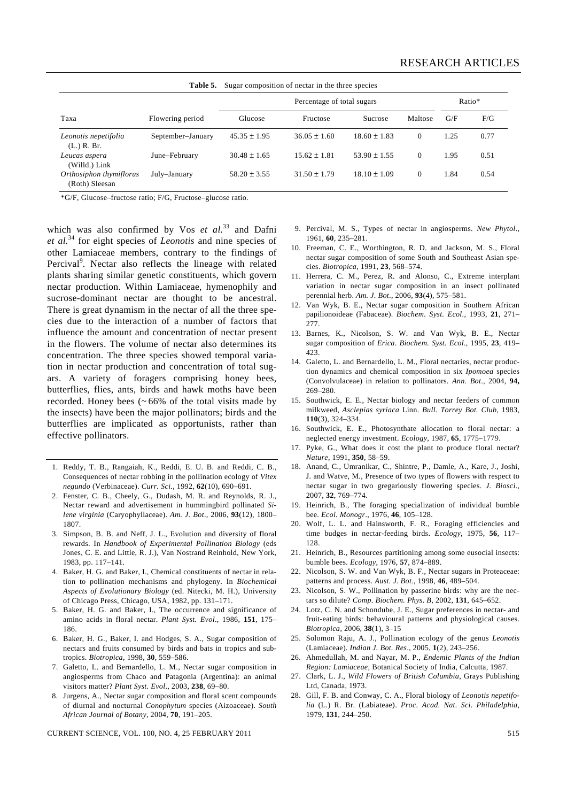| Sugar composition of nectar in the three species<br>Table 5. |                   |                            |                  |                  |              |        |      |
|--------------------------------------------------------------|-------------------|----------------------------|------------------|------------------|--------------|--------|------|
|                                                              |                   | Percentage of total sugars |                  |                  |              | Ratio* |      |
| Taxa                                                         | Flowering period  | Glucose                    | Fructose         | Sucrose          | Maltose      | G/F    | F/G  |
| Leonotis nepetifolia<br>$(L)$ R. Br.                         | September-January | $45.35 \pm 1.95$           | $36.05 + 1.60$   | $18.60 + 1.83$   | $\Omega$     | 1.25   | 0.77 |
| Leucas aspera<br>(Willd.) Link                               | June-February     | $30.48 + 1.65$             | $15.62 + 1.81$   | $53.90 + 1.55$   | $\Omega$     | 1.95   | 0.51 |
| Orthosiphon thymiflorus<br>(Roth) Sleesan                    | July-January      | $58.20 + 3.55$             | $31.50 \pm 1.79$ | $18.10 \pm 1.09$ | $\mathbf{0}$ | 1.84   | 0.54 |

\*G/F, Glucose–fructose ratio; F/G, Fructose–glucose ratio.

which was also confirmed by Vos *et al.*<sup>33</sup> and Dafni *et al.*34 for eight species of *Leonotis* and nine species of other Lamiaceae members, contrary to the findings of Percival<sup>9</sup>. Nectar also reflects the lineage with related plants sharing similar genetic constituents, which govern nectar production. Within Lamiaceae, hymenophily and sucrose-dominant nectar are thought to be ancestral. There is great dynamism in the nectar of all the three species due to the interaction of a number of factors that influence the amount and concentration of nectar present in the flowers. The volume of nectar also determines its concentration. The three species showed temporal variation in nectar production and concentration of total sugars. A variety of foragers comprising honey bees, butterflies, flies, ants, birds and hawk moths have been recorded. Honey bees  $(~66\%$  of the total visits made by the insects) have been the major pollinators; birds and the butterflies are implicated as opportunists, rather than effective pollinators.

- 1. Reddy, T. B., Rangaiah, K., Reddi, E. U. B. and Reddi, C. B., Consequences of nectar robbing in the pollination ecology of *Vitex negundo* (Verbinaceae). *Curr. Sci.*, 1992, **62**(10), 690–691.
- 2. Fenster, C. B., Cheely, G., Dudash, M. R. and Reynolds, R. J., Nectar reward and advertisement in hummingbird pollinated *Silene virginia* (Caryophyllaceae). *Am. J. Bot*., 2006, **93**(12), 1800– 1807.
- 3. Simpson, B. B. and Neff, J. L., Evolution and diversity of floral rewards. In *Handbook of Experimental Pollination Biology* (eds Jones, C. E. and Little, R. J.), Van Nostrand Reinhold, New York, 1983, pp. 117–141.
- 4. Baker, H. G. and Baker, I., Chemical constituents of nectar in relation to pollination mechanisms and phylogeny. In *Biochemical Aspects of Evolutionary Biology* (ed. Nitecki, M. H.), University of Chicago Press, Chicago, USA, 1982, pp. 131–171.
- 5. Baker, H. G. and Baker, I., The occurrence and significance of amino acids in floral nectar. *Plant Syst. Evol*., 1986, **151**, 175– 186.
- 6. Baker, H. G., Baker, I. and Hodges, S. A., Sugar composition of nectars and fruits consumed by birds and bats in tropics and subtropics. *Biotropica*, 1998, **30**, 559–586.
- 7. Galetto, L. and Bernardello, L. M., Nectar sugar composition in angiosperms from Chaco and Patagonia (Argentina): an animal visitors matter? *Plant Syst. Evol*., 2003, **238**, 69–80.
- 8. Jurgens, A., Nectar sugar composition and floral scent compounds of diurnal and nocturnal *Conophytum* species (Aizoaceae). *South African Journal of Botany*, 2004, **70**, 191–205.

CURRENT SCIENCE, VOL. 100, NO. 4, 25 FEBRUARY 2011 515

- 9. Percival, M. S., Types of nectar in angiosperms. *New Phytol*., 1961, **60**, 235–281.
- 10. Freeman, C. E., Worthington, R. D. and Jackson, M. S., Floral nectar sugar composition of some South and Southeast Asian species. *Biotropica*, 1991, **23**, 568–574.
- 11. Herrera, C. M., Perez, R. and Alonso, C., Extreme interplant variation in nectar sugar composition in an insect pollinated perennial herb. *Am. J. Bot*., 2006, **93**(4), 575–581.
- 12. Van Wyk, B. E., Nectar sugar composition in Southern African papilionoideae (Fabaceae). *Biochem. Syst. Ecol*., 1993, **21**, 271– 277.
- 13. Barnes, K., Nicolson, S. W. and Van Wyk, B. E., Nectar sugar composition of *Erica*. *Biochem. Syst. Ecol*., 1995, **23**, 419– 423.
- 14. Galetto, L. and Bernardello, L. M., Floral nectaries, nectar production dynamics and chemical composition in six *Ipomoea* species (Convolvulaceae) in relation to pollinators. *Ann. Bot*., 2004, **94,** 269–280.
- 15. Southwick, E. E., Nectar biology and nectar feeders of common milkweed, *Asclepias syriaca* Linn. *Bull. Torrey Bot. Club*, 1983, **110**(3), 324–334.
- 16. Southwick, E. E., Photosynthate allocation to floral nectar: a neglected energy investment. *Ecology*, 1987, **65**, 1775–1779.
- 17. Pyke, G., What does it cost the plant to produce floral nectar? *Nature*, 1991, **350**, 58–59.
- 18. Anand, C., Umranikar, C., Shintre, P., Damle, A., Kare, J., Joshi, J. and Watve, M., Presence of two types of flowers with respect to nectar sugar in two gregariously flowering species. *J. Biosci.*, 2007, **32**, 769–774.
- 19. Heinrich, B., The foraging specialization of individual bumble bee. *Ecol. Monogr*., 1976, **46**, 105–128.
- 20. Wolf, L. L. and Hainsworth, F. R., Foraging efficiencies and time budges in nectar-feeding birds. *Ecology*, 1975, **56**, 117– 128.
- 21. Heinrich, B., Resources partitioning among some eusocial insects: bumble bees. *Ecology*, 1976, **57**, 874–889.
- 22. Nicolson, S. W. and Van Wyk, B. F., Nectar sugars in Proteaceae: patterns and process. *Aust. J. Bot*., 1998, **46**, 489–504.
- 23. Nicolson, S. W., Pollination by passerine birds: why are the nectars so dilute? *Comp. Biochem. Phys*. *B*, 2002, **131**, 645–652.
- 24. Lotz, C. N. and Schondube, J. E., Sugar preferences in nectar- and fruit-eating birds: behavioural patterns and physiological causes. *Biotropica*, 2006, **38**(1), 3–15
- 25. Solomon Raju, A. J., Pollination ecology of the genus *Leonotis* (Lamiaceae). *Indian J. Bot. Res*., 2005, **1**(2), 243–256.
- 26. Ahmedullah, M. and Nayar, M. P., *Endemic Plants of the Indian Region: Lamiaceae*, Botanical Society of India, Calcutta, 1987.
- 27. Clark, L. J., *Wild Flowers of British Columbia*, Grays Publishing Ltd, Canada, 1973.
- 28. Gill, F. B. and Conway, C. A., Floral biology of *Leonotis nepetifolia* (L.) R. Br. (Labiateae). *Proc. Acad. Nat. Sci*. *Philadelphia*, 1979, **131**, 244–250.